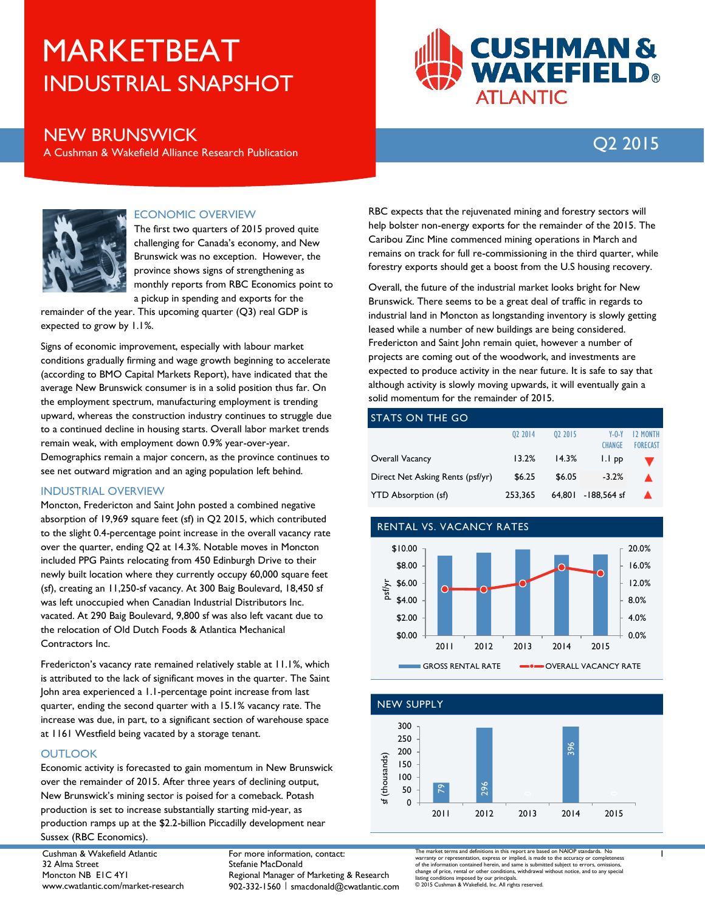# INDUSTRIAL SNAPSHOT MARKETBEAT



### NEW BRUNSWICK

A Cushman & Wakefield Alliance Research Publication

## Q2 2015



#### ECONOMIC OVERVIEW

The first two quarters of 2015 proved quite challenging for Canada's economy, and New Brunswick was no exception. However, the province shows signs of strengthening as monthly reports from RBC Economics point to a pickup in spending and exports for the

remainder of the year. This upcoming quarter (Q3) real GDP is expected to grow by 1.1%.

Signs of economic improvement, especially with labour market conditions gradually firming and wage growth beginning to accelerate (according to BMO Capital Markets Report), have indicated that the average New Brunswick consumer is in a solid position thus far. On the employment spectrum, manufacturing employment is trending upward, whereas the construction industry continues to struggle due to a continued decline in housing starts. Overall labor market trends remain weak, with employment down 0.9% year-over-year. Demographics remain a major concern, as the province continues to see net outward migration and an aging population left behind.

#### INDUSTRIAL OVERVIEW

Moncton, Fredericton and Saint John posted a combined negative absorption of 19,969 square feet (sf) in Q2 2015, which contributed to the slight 0.4-percentage point increase in the overall vacancy rate over the quarter, ending Q2 at 14.3%. Notable moves in Moncton included PPG Paints relocating from 450 Edinburgh Drive to their newly built location where they currently occupy 60,000 square feet (sf), creating an 11,250-sf vacancy. At 300 Baig Boulevard, 18,450 sf was left unoccupied when Canadian Industrial Distributors Inc. vacated. At 290 Baig Boulevard, 9,800 sf was also left vacant due to the relocation of Old Dutch Foods & Atlantica Mechanical Contractors Inc.

Fredericton's vacancy rate remained relatively stable at 11.1%, which is attributed to the lack of significant moves in the quarter. The Saint John area experienced a 1.1-percentage point increase from last quarter, ending the second quarter with a 15.1% vacancy rate. The increase was due, in part, to a significant section of warehouse space at 1161 Westfield being vacated by a storage tenant.

#### **OUTLOOK**

Economic activity is forecasted to gain momentum in New Brunswick over the remainder of 2015. After three years of declining output, New Brunswick's mining sector is poised for a comeback. Potash production is set to increase substantially starting mid-year, as production ramps up at the \$2.2-billion Piccadilly development near Sussex (RBC Economics).

Cushman & Wakefield Atlantic 32 Alma Street Moncton NB E1C 4Y1 www.cwatlantic.com/market-research For more information, contact: Stefanie MacDonald Regional Manager of Marketing & Research 902-332-1560 | smacdonald@cwatlantic.com

RBC expects that the rejuvenated mining and forestry sectors will help bolster non-energy exports for the remainder of the 2015. The Caribou Zinc Mine commenced mining operations in March and remains on track for full re-commissioning in the third quarter, while forestry exports should get a boost from the U.S housing recovery.

Overall, the future of the industrial market looks bright for New Brunswick. There seems to be a great deal of traffic in regards to industrial land in Moncton as longstanding inventory is slowly getting leased while a number of new buildings are being considered. Fredericton and Saint John remain quiet, however a number of projects are coming out of the woodwork, and investments are expected to produce activity in the near future. It is safe to say that although activity is slowly moving upwards, it will eventually gain a solid momentum for the remainder of 2015.

#### STATS ON THE GO

|                                  | 02 2014 | 02 2015 | $Y - 0 - Y$        | <b>12 MONTH</b> |
|----------------------------------|---------|---------|--------------------|-----------------|
|                                  |         |         | <b>CHANGE</b>      | <b>FORECAST</b> |
| Overall Vacancy                  | 13.2%   | 14.3%   | I.I pp             |                 |
| Direct Net Asking Rents (psf/yr) | \$6.25  | \$6.05  | $-3.2%$            |                 |
| <b>YTD Absorption (sf)</b>       | 253.365 |         | 64,801 -188,564 sf |                 |

#### RENTAL VS. VACANCY RATES





The market terms and definitions in this report are based on NAIOP standards. No warranty or representation, express or implied, is made to the accuracy or completeness of the information contained herein, and same is submitted subject to errors, omissions,<br>change of price, rental or other conditions, withdrawal without notice, and to any special<br>listing conditions imposed by our principa

1